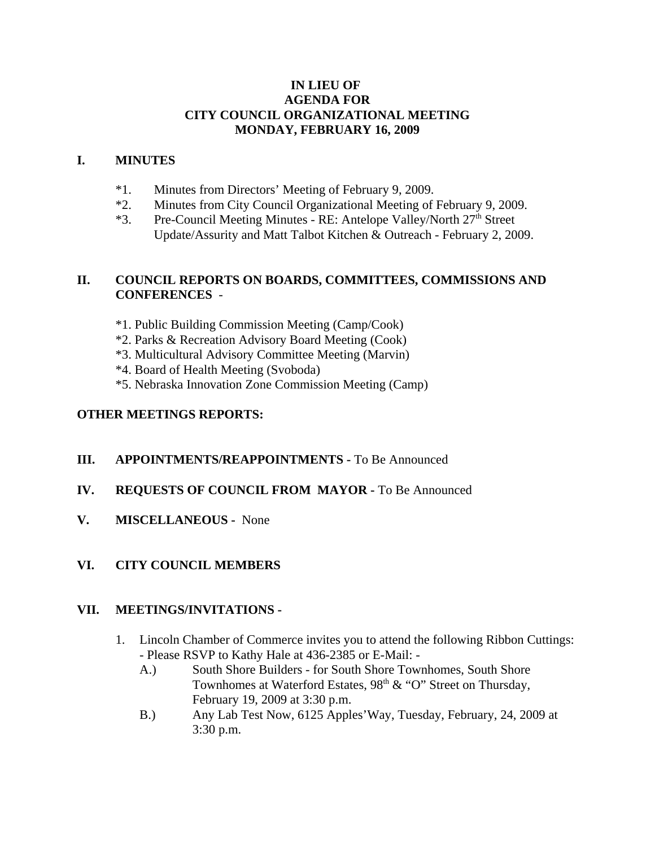#### **IN LIEU OF AGENDA FOR CITY COUNCIL ORGANIZATIONAL MEETING MONDAY, FEBRUARY 16, 2009**

#### **I. MINUTES**

- \*1. Minutes from Directors' Meeting of February 9, 2009.
- \*2. Minutes from City Council Organizational Meeting of February 9, 2009.
- $*3.$  Pre-Council Meeting Minutes RE: Antelope Valley/North  $27<sup>th</sup>$  Street Update/Assurity and Matt Talbot Kitchen & Outreach - February 2, 2009.

# **II. COUNCIL REPORTS ON BOARDS, COMMITTEES, COMMISSIONS AND CONFERENCES** -

- \*1. Public Building Commission Meeting (Camp/Cook)
- \*2. Parks & Recreation Advisory Board Meeting (Cook)
- \*3. Multicultural Advisory Committee Meeting (Marvin)
- \*4. Board of Health Meeting (Svoboda)
- \*5. Nebraska Innovation Zone Commission Meeting (Camp)

# **OTHER MEETINGS REPORTS:**

- **III.** APPOINTMENTS/REAPPOINTMENTS To Be Announced
- **IV. REQUESTS OF COUNCIL FROM MAYOR -** To Be Announced
- **V. MISCELLANEOUS -** None
- **VI. CITY COUNCIL MEMBERS**

#### **VII. MEETINGS/INVITATIONS -**

- 1. Lincoln Chamber of Commerce invites you to attend the following Ribbon Cuttings: - Please RSVP to Kathy Hale at 436-2385 or E-Mail: -
	- A.) South Shore Builders for South Shore Townhomes, South Shore Townhomes at Waterford Estates, 98<sup>th</sup> & "O" Street on Thursday, February 19, 2009 at 3:30 p.m.
	- B.) Any Lab Test Now, 6125 Apples'Way, Tuesday, February, 24, 2009 at 3:30 p.m.